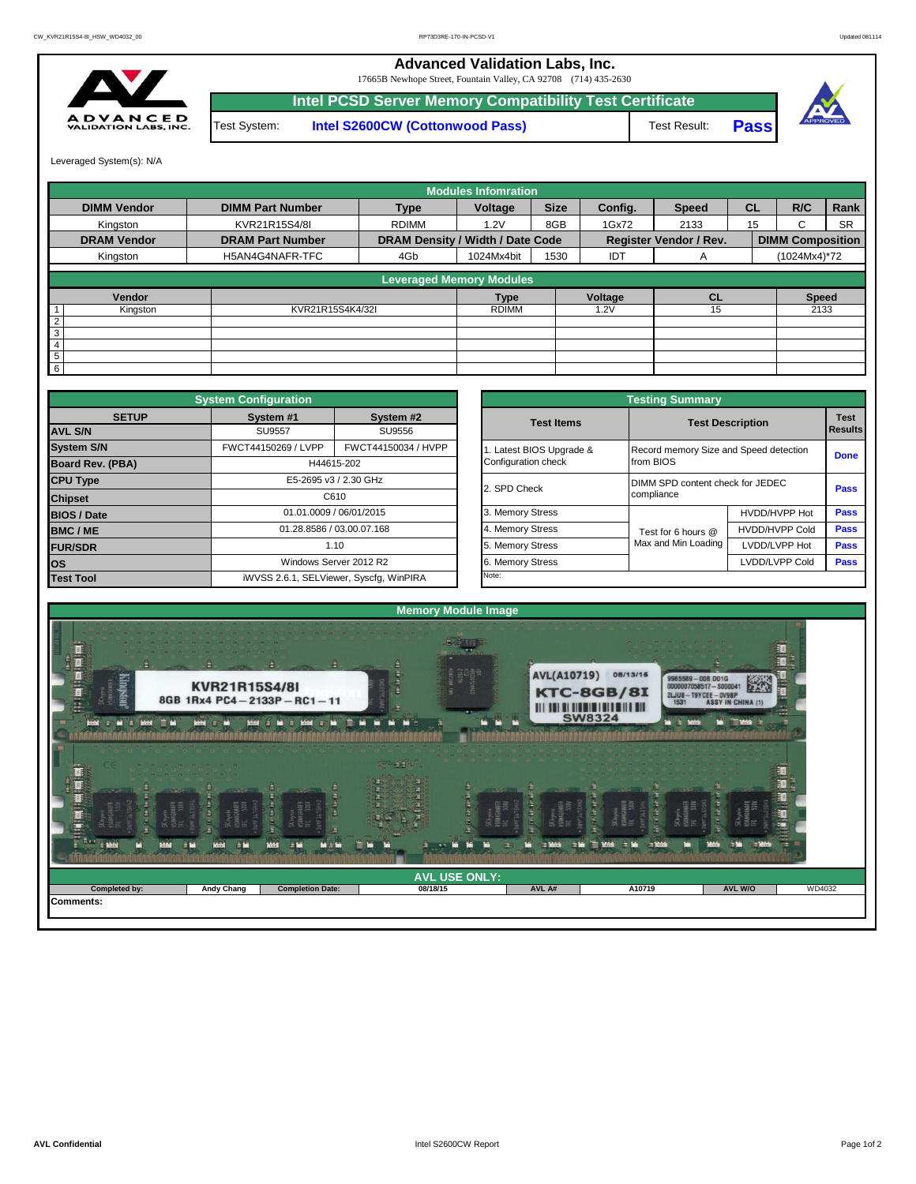## **Advanced Validation Labs, Inc.**

17665B Newhope Street, Fountain Valley, CA 92708 (714) 435-2630



Test System: **Intel S2600CW (Cottonwood Pass) Intel PCSD Server Memory Compatibility Test Certificate** Test Result: **Pass**



Leveraged System(s): N/A

|                    |                         |                                  | <b>Modules Infomration</b>      |             |         |                               |           |                         |           |
|--------------------|-------------------------|----------------------------------|---------------------------------|-------------|---------|-------------------------------|-----------|-------------------------|-----------|
| <b>DIMM Vendor</b> | <b>DIMM Part Number</b> | <b>Type</b>                      | Voltage                         | <b>Size</b> | Config. | <b>Speed</b>                  | <b>CL</b> | R/C                     | Rank      |
| Kingston           | KVR21R15S4/8I           | <b>RDIMM</b>                     | 1.2V                            | 8GB         | 1Gx72   | 2133                          | 15        | C                       | <b>SR</b> |
| <b>DRAM Vendor</b> | <b>DRAM Part Number</b> | DRAM Density / Width / Date Code |                                 |             |         | <b>Register Vendor / Rev.</b> |           | <b>DIMM Composition</b> |           |
| Kingston           | H5AN4G4NAFR-TFC         | 4Gb                              | 1024Mx4bit                      | 1530        | IDT     | A                             |           | (1024Mx4)*72            |           |
|                    |                         |                                  | <b>Leveraged Memory Modules</b> |             |         |                               |           |                         |           |
| Vendor             |                         |                                  | <b>Type</b>                     |             | Voltage | <b>CL</b>                     |           | <b>Speed</b>            |           |
| Kingston           | KVR21R15S4K4/32I        |                                  | <b>RDIMM</b>                    |             | .2V     | 15                            |           | 2133                    |           |
| $\overline{2}$     |                         |                                  |                                 |             |         |                               |           |                         |           |
| 3                  |                         |                                  |                                 |             |         |                               |           |                         |           |
| 4                  |                         |                                  |                                 |             |         |                               |           |                         |           |
| 5                  |                         |                                  |                                 |             |         |                               |           |                         |           |
| 6                  |                         |                                  |                                 |             |         |                               |           |                         |           |

|                    | <b>System Configuration</b> |                                         |                       | <b>Testing Summary</b>                 |                                                |             |  |  |
|--------------------|-----------------------------|-----------------------------------------|-----------------------|----------------------------------------|------------------------------------------------|-------------|--|--|
| <b>SETUP</b>       | System #1                   | System #2                               | <b>Test Items</b>     |                                        | <b>Test Description</b>                        | <b>Test</b> |  |  |
| <b>AVL S/N</b>     | <b>SU9557</b>               | SU9556                                  |                       |                                        |                                                | Results     |  |  |
| <b>System S/N</b>  | FWCT44150269 / LVPP         | FWCT44150034 / HVPP                     | Latest BIOS Upgrade & | Record memory Size and Speed detection |                                                | <b>Done</b> |  |  |
| Board Rev. (PBA)   |                             | H44615-202                              | Configuration check   | from BIOS                              |                                                |             |  |  |
| <b>CPU Type</b>    |                             | E5-2695 v3 / 2.30 GHz                   | 2. SPD Check          |                                        | DIMM SPD content check for JEDEC<br>compliance |             |  |  |
| <b>Chipset</b>     |                             | C610                                    |                       |                                        |                                                |             |  |  |
| <b>BIOS / Date</b> |                             | 01.01.0009 / 06/01/2015                 | 3. Memory Stress      |                                        | HVDD/HVPP Hot                                  | <b>Pass</b> |  |  |
| <b>BMC/ME</b>      |                             | 01.28.8586 / 03.00.07.168               | 4. Memory Stress      | Test for 6 hours @                     | <b>HVDD/HVPP Cold</b>                          | <b>Pass</b> |  |  |
| <b>FUR/SDR</b>     |                             | 1.10                                    | 5. Memory Stress      | Max and Min Loading                    | LVDD/LVPP Hot                                  | <b>Pass</b> |  |  |
| <b>los</b>         |                             | Windows Server 2012 R2                  | 6. Memory Stress      |                                        | LVDD/LVPP Cold                                 |             |  |  |
| <b>Test Tool</b>   |                             | iWVSS 2.6.1, SELViewer, Syscfq, WinPIRA | Note:                 |                                        |                                                |             |  |  |

|              | <b>System Configuration</b> |                                         |                       | <b>Testing Summary</b>                 |                                  |                               |  |  |
|--------------|-----------------------------|-----------------------------------------|-----------------------|----------------------------------------|----------------------------------|-------------------------------|--|--|
| <b>SETUP</b> | System #1                   | System #2                               | <b>Test Items</b>     | <b>Test Description</b>                |                                  | <b>Test</b><br><b>Results</b> |  |  |
|              | <b>SU9557</b><br>SU9556     |                                         |                       |                                        |                                  |                               |  |  |
|              | FWCT44150269 / LVPP         | FWCT44150034 / HVPP                     | Latest BIOS Upgrade & | Record memory Size and Speed detection |                                  |                               |  |  |
| PBA)         |                             | H44615-202                              | Configuration check   | from BIOS                              | <b>Done</b>                      |                               |  |  |
|              |                             | E5-2695 v3 / 2.30 GHz                   | 2. SPD Check          |                                        | DIMM SPD content check for JEDEC |                               |  |  |
|              |                             | C610                                    |                       | compliance                             |                                  | Pass                          |  |  |
|              |                             | 01.01.0009 / 06/01/2015                 | 3. Memory Stress      |                                        | HVDD/HVPP Hot                    | Pass                          |  |  |
|              |                             | 01.28.8586 / 03.00.07.168               | 4. Memory Stress      | Test for 6 hours @                     | <b>HVDD/HVPP Cold</b>            |                               |  |  |
|              |                             | 1.10                                    | 5. Memory Stress      | Max and Min Loading                    | LVDD/LVPP Hot                    | Pass                          |  |  |
|              |                             | Windows Server 2012 R2                  | 6. Memory Stress      |                                        | LVDD/LVPP Cold                   | Pass                          |  |  |
|              |                             | iWVSS 2.6.1, SELViewer, Syscfq, WinPIRA | Note:                 |                                        |                                  |                               |  |  |